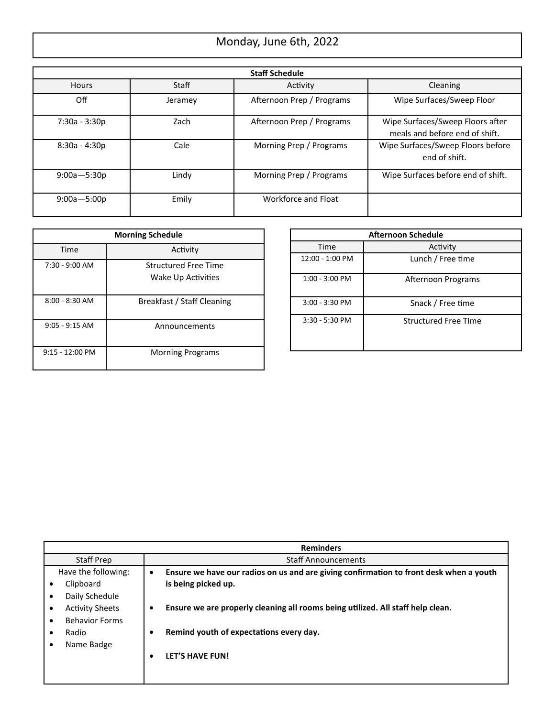# Monday, June 6th, 2022

| <b>Staff Schedule</b> |         |                           |                                                                    |
|-----------------------|---------|---------------------------|--------------------------------------------------------------------|
| <b>Hours</b>          | Staff   | Activity                  | Cleaning                                                           |
| Off                   | Jeramey | Afternoon Prep / Programs | Wipe Surfaces/Sweep Floor                                          |
| 7:30a - 3:30p         | Zach    | Afternoon Prep / Programs | Wipe Surfaces/Sweep Floors after<br>meals and before end of shift. |
| 8:30a - 4:30p         | Cale    | Morning Prep / Programs   | Wipe Surfaces/Sweep Floors before<br>end of shift.                 |
| $9:00a - 5:30p$       | Lindy   | Morning Prep / Programs   | Wipe Surfaces before end of shift.                                 |
| $9:00a - 5:00p$       | Emily   | Workforce and Float       |                                                                    |

| <b>Morning Schedule</b> |                                                   |  |
|-------------------------|---------------------------------------------------|--|
| Time                    | Activity                                          |  |
| $7:30 - 9:00$ AM        | <b>Structured Free Time</b><br>Wake Up Activities |  |
| $8:00 - 8:30$ AM        | Breakfast / Staff Cleaning                        |  |
| $9:05 - 9:15$ AM        | Announcements                                     |  |
| $9:15 - 12:00$ PM       | <b>Morning Programs</b>                           |  |

| <b>Afternoon Schedule</b> |                             |  |
|---------------------------|-----------------------------|--|
| Time                      | Activity                    |  |
| 12:00 - 1:00 PM           | Lunch / Free time           |  |
| $1:00 - 3:00$ PM          | Afternoon Programs          |  |
| $3:00 - 3:30$ PM          | Snack / Free time           |  |
| $3:30 - 5:30$ PM          | <b>Structured Free Time</b> |  |

|                                                                                       | <b>Reminders</b>                                                                                                                                                                                                   |
|---------------------------------------------------------------------------------------|--------------------------------------------------------------------------------------------------------------------------------------------------------------------------------------------------------------------|
| Staff Prep                                                                            | <b>Staff Announcements</b>                                                                                                                                                                                         |
| Have the following:<br>Clipboard<br>٠<br>Daily Schedule                               | Ensure we have our radios on us and are giving confirmation to front desk when a youth<br>$\bullet$<br>is being picked up.<br>Ensure we are properly cleaning all rooms being utilized. All staff help clean.<br>٠ |
| <b>Activity Sheets</b><br>٠<br><b>Behavior Forms</b><br>٠<br>Radio<br>٠<br>Name Badge | Remind youth of expectations every day.<br>٠                                                                                                                                                                       |
|                                                                                       | <b>LET'S HAVE FUN!</b><br>٠                                                                                                                                                                                        |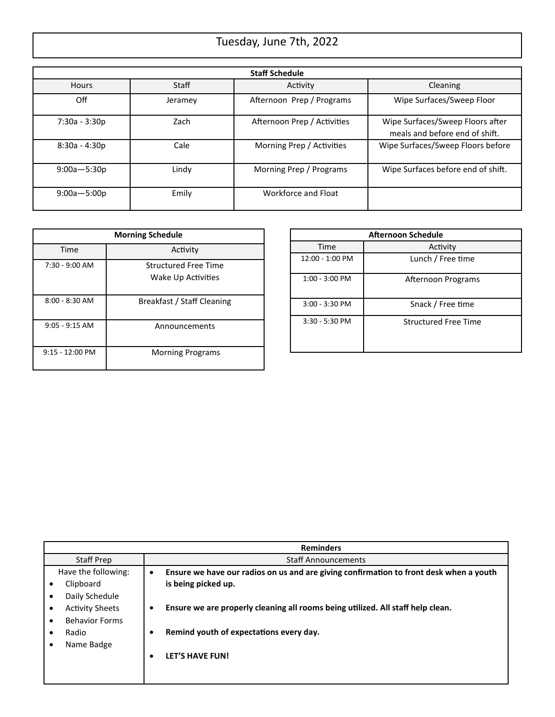# Tuesday, June 7th, 2022

| <b>Staff Schedule</b> |         |                             |                                                                    |
|-----------------------|---------|-----------------------------|--------------------------------------------------------------------|
| <b>Hours</b>          | Staff   | Activity                    | Cleaning                                                           |
| Off                   | Jeramey | Afternoon Prep / Programs   | Wipe Surfaces/Sweep Floor                                          |
| 7:30a - 3:30p         | Zach    | Afternoon Prep / Activities | Wipe Surfaces/Sweep Floors after<br>meals and before end of shift. |
| $8:30a - 4:30p$       | Cale    | Morning Prep / Activities   | Wipe Surfaces/Sweep Floors before                                  |
| $9:00a - 5:30p$       | Lindy   | Morning Prep / Programs     | Wipe Surfaces before end of shift.                                 |
| $9:00a - 5:00p$       | Emily   | Workforce and Float         |                                                                    |

| <b>Morning Schedule</b> |                                                   |  |
|-------------------------|---------------------------------------------------|--|
| Time                    | Activity                                          |  |
| $7:30 - 9:00$ AM        | <b>Structured Free Time</b><br>Wake Up Activities |  |
| $8:00 - 8:30$ AM        | Breakfast / Staff Cleaning                        |  |
| $9:05 - 9:15$ AM        | Announcements                                     |  |
| $9:15 - 12:00$ PM       | <b>Morning Programs</b>                           |  |

| <b>Afternoon Schedule</b> |                             |  |
|---------------------------|-----------------------------|--|
| Time                      | Activity                    |  |
| 12:00 - 1:00 PM           | Lunch / Free time           |  |
| $1:00 - 3:00$ PM          | Afternoon Programs          |  |
| $3:00 - 3:30$ PM          | Snack / Free time           |  |
| 3:30 - 5:30 PM            | <b>Structured Free Time</b> |  |

|                                                                                       | <b>Reminders</b>                                                                                                                                                                                                   |
|---------------------------------------------------------------------------------------|--------------------------------------------------------------------------------------------------------------------------------------------------------------------------------------------------------------------|
| Staff Prep                                                                            | <b>Staff Announcements</b>                                                                                                                                                                                         |
| Have the following:<br>Clipboard<br>٠<br>Daily Schedule                               | Ensure we have our radios on us and are giving confirmation to front desk when a youth<br>$\bullet$<br>is being picked up.<br>Ensure we are properly cleaning all rooms being utilized. All staff help clean.<br>٠ |
| <b>Activity Sheets</b><br>٠<br><b>Behavior Forms</b><br>٠<br>Radio<br>٠<br>Name Badge | Remind youth of expectations every day.<br>٠                                                                                                                                                                       |
|                                                                                       | <b>LET'S HAVE FUN!</b><br>٠                                                                                                                                                                                        |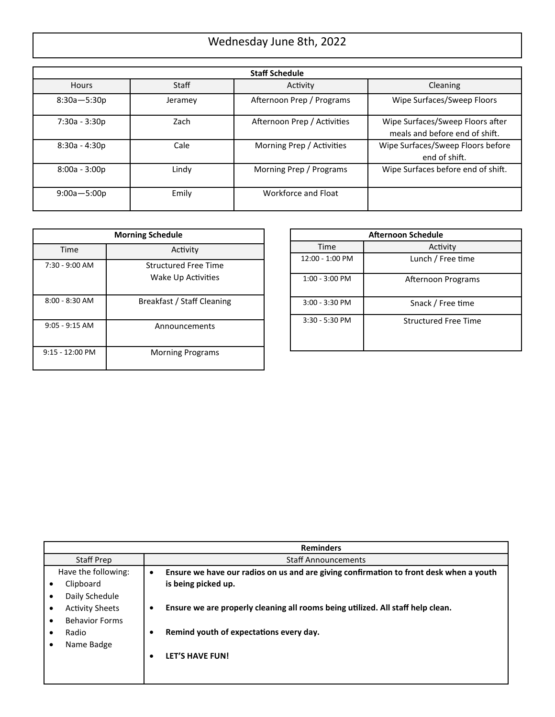# Wednesday June 8th, 2022

| <b>Staff Schedule</b> |         |                             |                                                                    |
|-----------------------|---------|-----------------------------|--------------------------------------------------------------------|
| <b>Hours</b>          | Staff   | Activity                    | Cleaning                                                           |
| $8:30a - 5:30p$       | Jeramey | Afternoon Prep / Programs   | Wipe Surfaces/Sweep Floors                                         |
| 7:30a - 3:30p         | Zach    | Afternoon Prep / Activities | Wipe Surfaces/Sweep Floors after<br>meals and before end of shift. |
| $8:30a - 4:30p$       | Cale    | Morning Prep / Activities   | Wipe Surfaces/Sweep Floors before<br>end of shift.                 |
| $8:00a - 3:00p$       | Lindy   | Morning Prep / Programs     | Wipe Surfaces before end of shift.                                 |
| $9:00a - 5:00p$       | Emily   | Workforce and Float         |                                                                    |

| <b>Morning Schedule</b>   |                                                   |  |
|---------------------------|---------------------------------------------------|--|
| Time                      | Activity                                          |  |
| $7:30 - 9:00$ AM          | <b>Structured Free Time</b><br>Wake Up Activities |  |
| $8:00 - 8:30$ AM          | Breakfast / Staff Cleaning                        |  |
| $9:05 - 9:15$ AM          | Announcements                                     |  |
| $9:15 - 12:00 \text{ PM}$ | <b>Morning Programs</b>                           |  |

| <b>Afternoon Schedule</b> |                             |  |
|---------------------------|-----------------------------|--|
| Time                      | Activity                    |  |
| 12:00 - 1:00 PM           | Lunch / Free time           |  |
| $1:00 - 3:00$ PM          | Afternoon Programs          |  |
| $3:00 - 3:30$ PM          | Snack / Free time           |  |
| $3:30 - 5:30$ PM          | <b>Structured Free Time</b> |  |

|                                                                                       | <b>Reminders</b>                                                                                                                                                                                                   |
|---------------------------------------------------------------------------------------|--------------------------------------------------------------------------------------------------------------------------------------------------------------------------------------------------------------------|
| Staff Prep                                                                            | <b>Staff Announcements</b>                                                                                                                                                                                         |
| Have the following:<br>Clipboard<br>٠<br>Daily Schedule                               | Ensure we have our radios on us and are giving confirmation to front desk when a youth<br>$\bullet$<br>is being picked up.<br>Ensure we are properly cleaning all rooms being utilized. All staff help clean.<br>٠ |
| <b>Activity Sheets</b><br>٠<br><b>Behavior Forms</b><br>٠<br>Radio<br>٠<br>Name Badge | Remind youth of expectations every day.<br>٠                                                                                                                                                                       |
|                                                                                       | <b>LET'S HAVE FUN!</b><br>٠                                                                                                                                                                                        |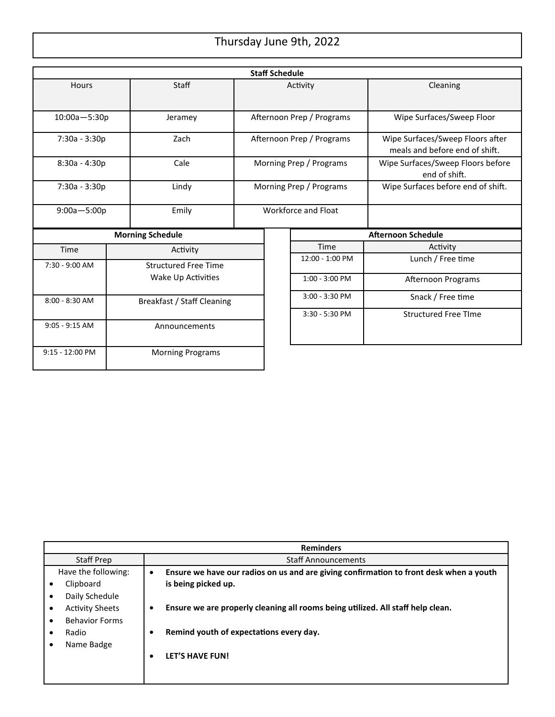# Thursday June 9th, 2022

| <b>Staff Schedule</b>                          |               |                             |                           |                |                     |                                                                    |
|------------------------------------------------|---------------|-----------------------------|---------------------------|----------------|---------------------|--------------------------------------------------------------------|
| <b>Hours</b>                                   |               | Staff                       | Activity                  |                |                     | Cleaning                                                           |
| $10:00a - 5:30p$                               |               | Jeramey                     | Afternoon Prep / Programs |                |                     | Wipe Surfaces/Sweep Floor                                          |
| 7:30a - 3:30p                                  |               | Zach                        | Afternoon Prep / Programs |                |                     | Wipe Surfaces/Sweep Floors after<br>meals and before end of shift. |
| $8:30a - 4:30p$                                |               | Cale                        | Morning Prep / Programs   |                |                     | Wipe Surfaces/Sweep Floors before<br>end of shift.                 |
| 7:30a - 3:30p                                  |               | Lindy                       | Morning Prep / Programs   |                |                     | Wipe Surfaces before end of shift.                                 |
| $9:00a - 5:00p$<br>Emily                       |               |                             |                           |                | Workforce and Float |                                                                    |
|                                                |               | <b>Morning Schedule</b>     |                           |                |                     | <b>Afternoon Schedule</b>                                          |
| Time                                           |               | Activity                    |                           |                | Time                | Activity                                                           |
| 7:30 - 9:00 AM                                 |               | <b>Structured Free Time</b> |                           |                | 12:00 - 1:00 PM     | Lunch / Free time                                                  |
|                                                |               | Wake Up Activities          |                           |                | $1:00 - 3:00$ PM    | Afternoon Programs                                                 |
| $8:00 - 8:30$ AM<br>Breakfast / Staff Cleaning |               |                             |                           | 3:00 - 3:30 PM | Snack / Free time   |                                                                    |
|                                                |               |                             |                           |                | 3:30 - 5:30 PM      | <b>Structured Free Time</b>                                        |
| $9:05 - 9:15$ AM                               | Announcements |                             |                           |                |                     |                                                                    |
| 9:15 - 12:00 PM<br><b>Morning Programs</b>     |               |                             |                           |                |                     |                                                                    |

|                                     | <b>Reminders</b>                                                                                    |
|-------------------------------------|-----------------------------------------------------------------------------------------------------|
| Staff Prep                          | <b>Staff Announcements</b>                                                                          |
| Have the following:                 | Ensure we have our radios on us and are giving confirmation to front desk when a youth<br>$\bullet$ |
| Clipboard<br>$\bullet$              | is being picked up.                                                                                 |
| Daily Schedule                      |                                                                                                     |
| <b>Activity Sheets</b><br>$\bullet$ | Ensure we are properly cleaning all rooms being utilized. All staff help clean.<br>٠                |
| <b>Behavior Forms</b><br>$\bullet$  |                                                                                                     |
| Radio<br>٠                          | Remind youth of expectations every day.                                                             |
| Name Badge<br>$\bullet$             |                                                                                                     |
|                                     | LET'S HAVE FUN!                                                                                     |
|                                     |                                                                                                     |
|                                     |                                                                                                     |